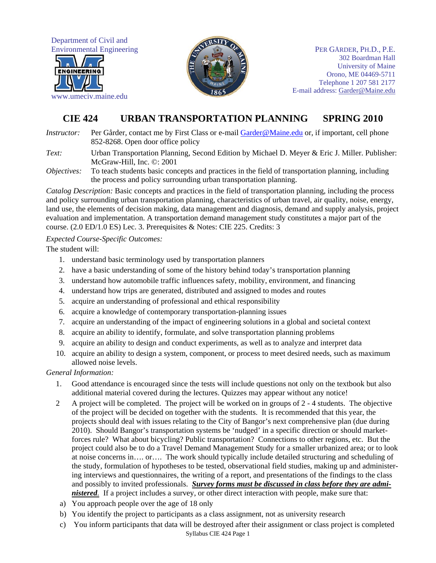Department of Civil and Environmental Engineering



www.umeciv.maine.edu



PER GÅRDER, PH.D., P.E. 302 Boardman Hall University of Maine Orono, ME 04469-5711 Telephone 1 207 581 2177 E-mail address: Garder@Maine.edu

# **CIE 424 URBAN TRANSPORTATION PLANNING SPRING 2010**

*Instructor:* Per Gårder, contact me by First Class or e-mail Garder@Maine.edu or, if important, cell phone 852-8268. Open door office policy

*Text:* Urban Transportation Planning, Second Edition by Michael D. Meyer & Eric J. Miller. Publisher: McGraw-Hill, Inc. ©: 2001

*Objectives:* To teach students basic concepts and practices in the field of transportation planning, including the process and policy surrounding urban transportation planning.

*Catalog Description:* Basic concepts and practices in the field of transportation planning, including the process and policy surrounding urban transportation planning, characteristics of urban travel, air quality, noise, energy, land use, the elements of decision making, data management and diagnosis, demand and supply analysis, project evaluation and implementation. A transportation demand management study constitutes a major part of the course. (2.0 ED/1.0 ES) Lec. 3. Prerequisites & Notes: CIE 225. Credits: 3

## *Expected Course-Specific Outcomes:*

The student will:

- 1. understand basic terminology used by transportation planners
- 2. have a basic understanding of some of the history behind today's transportation planning
- 3. understand how automobile traffic influences safety, mobility, environment, and financing
- 4. understand how trips are generated, distributed and assigned to modes and routes
- 5. acquire an understanding of professional and ethical responsibility
- 6. acquire a knowledge of contemporary transportation-planning issues
- 7. acquire an understanding of the impact of engineering solutions in a global and societal context
- 8. acquire an ability to identify, formulate, and solve transportation planning problems
- 9. acquire an ability to design and conduct experiments, as well as to analyze and interpret data
- 10. acquire an ability to design a system, component, or process to meet desired needs, such as maximum allowed noise levels.

#### *General Information:*

- 1. Good attendance is encouraged since the tests will include questions not only on the textbook but also additional material covered during the lectures. Quizzes may appear without any notice!
- 2 A project will be completed. The project will be worked on in groups of 2 4 students. The objective of the project will be decided on together with the students. It is recommended that this year, the projects should deal with issues relating to the City of Bangor's next comprehensive plan (due during 2010). Should Bangor's transportation systems be 'nudged' in a specific direction or should marketforces rule? What about bicycling? Public transportation? Connections to other regions, etc. But the project could also be to do a Travel Demand Management Study for a smaller urbanized area; or to look at noise concerns in…. or…. The work should typically include detailed structuring and scheduling of the study, formulation of hypotheses to be tested, observational field studies, making up and administering interviews and questionnaires, the writing of a report, and presentations of the findings to the class and possibly to invited professionals. *Survey forms must be discussed in class before they are administered.* If a project includes a survey, or other direct interaction with people, make sure that:
- a) You approach people over the age of 18 only
- b) You identify the project to participants as a class assignment, not as university research
- Syllabus CIE 424 Page 1 c) You inform participants that data will be destroyed after their assignment or class project is completed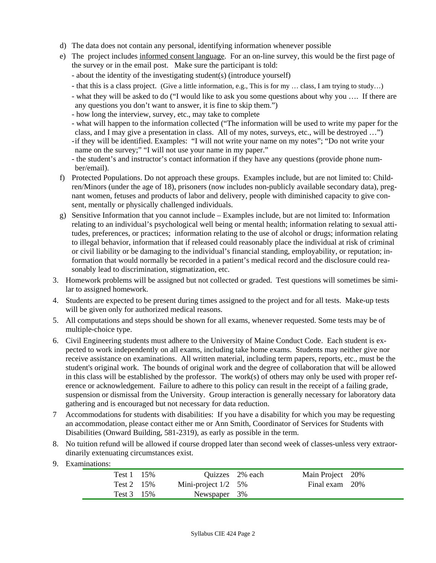- d) The data does not contain any personal, identifying information whenever possible
- e) The project includes informed consent language. For an on-line survey, this would be the first page of the survey or in the email post. Make sure the participant is told:
	- about the identity of the investigating student(s) (introduce yourself)
	- that this is a class project. (Give a little information, e.g., This is for my … class, I am trying to study…)
	- what they will be asked to do ("I would like to ask you some questions about why you …. If there are any questions you don't want to answer, it is fine to skip them.")
	- how long the interview, survey, etc., may take to complete
	- what will happen to the information collected ("The information will be used to write my paper for the class, and I may give a presentation in class. All of my notes, surveys, etc., will be destroyed …")
	- if they will be identified. Examples: "I will not write your name on my notes"; "Do not write your name on the survey;" "I will not use your name in my paper."
	- the student's and instructor's contact information if they have any questions (provide phone number/email).
- f) Protected Populations. Do not approach these groups. Examples include, but are not limited to: Children/Minors (under the age of 18), prisoners (now includes non-publicly available secondary data), pregnant women, fetuses and products of labor and delivery, people with diminished capacity to give consent, mentally or physically challenged individuals.
- g) Sensitive Information that you cannot include Examples include, but are not limited to: Information relating to an individual's psychological well being or mental health; information relating to sexual attitudes, preferences, or practices; information relating to the use of alcohol or drugs; information relating to illegal behavior, information that if released could reasonably place the individual at risk of criminal or civil liability or be damaging to the individual's financial standing, employability, or reputation; information that would normally be recorded in a patient's medical record and the disclosure could reasonably lead to discrimination, stigmatization, etc.
- 3. Homework problems will be assigned but not collected or graded. Test questions will sometimes be similar to assigned homework.
- 4. Students are expected to be present during times assigned to the project and for all tests. Make-up tests will be given only for authorized medical reasons.
- 5. All computations and steps should be shown for all exams, whenever requested. Some tests may be of multiple-choice type.
- 6. Civil Engineering students must adhere to the University of Maine Conduct Code. Each student is expected to work independently on all exams, including take home exams. Students may neither give nor receive assistance on examinations. All written material, including term papers, reports, etc., must be the student's original work. The bounds of original work and the degree of collaboration that will be allowed in this class will be established by the professor. The work(s) of others may only be used with proper reference or acknowledgement. Failure to adhere to this policy can result in the receipt of a failing grade, suspension or dismissal from the University. Group interaction is generally necessary for laboratory data gathering and is encouraged but not necessary for data reduction.
- 7 Accommodations for students with disabilities: If you have a disability for which you may be requesting an accommodation, please contact either me or Ann Smith, Coordinator of Services for Students with Disabilities (Onward Building, 581-2319), as early as possible in the term.
- 8. No tuition refund will be allowed if course dropped later than second week of classes-unless very extraordinarily extenuating circumstances exist.
- 9. Examinations:

| Test 1 15%         |                       | Quizzes 2% each | Main Project 20% |  |
|--------------------|-----------------------|-----------------|------------------|--|
| Test 2 $15\%$      | Mini-project $1/2$ 5% |                 | Final exam 20%   |  |
| Test $3\quad 15\%$ | Newspaper 3%          |                 |                  |  |